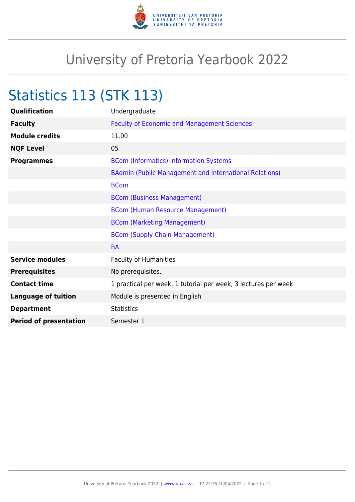

## University of Pretoria Yearbook 2022

## Statistics 113 (STK 113)

| Qualification                 | Undergraduate                                                  |
|-------------------------------|----------------------------------------------------------------|
| <b>Faculty</b>                | <b>Faculty of Economic and Management Sciences</b>             |
| <b>Module credits</b>         | 11.00                                                          |
| <b>NQF Level</b>              | 05                                                             |
| <b>Programmes</b>             | <b>BCom (Informatics) Information Systems</b>                  |
|                               | BAdmin (Public Management and International Relations)         |
|                               | <b>BCom</b>                                                    |
|                               | <b>BCom (Business Management)</b>                              |
|                               | <b>BCom (Human Resource Management)</b>                        |
|                               | <b>BCom (Marketing Management)</b>                             |
|                               | <b>BCom (Supply Chain Management)</b>                          |
|                               | <b>BA</b>                                                      |
| <b>Service modules</b>        | <b>Faculty of Humanities</b>                                   |
| <b>Prerequisites</b>          | No prerequisites.                                              |
| <b>Contact time</b>           | 1 practical per week, 1 tutorial per week, 3 lectures per week |
| <b>Language of tuition</b>    | Module is presented in English                                 |
| <b>Department</b>             | <b>Statistics</b>                                              |
| <b>Period of presentation</b> | Semester 1                                                     |